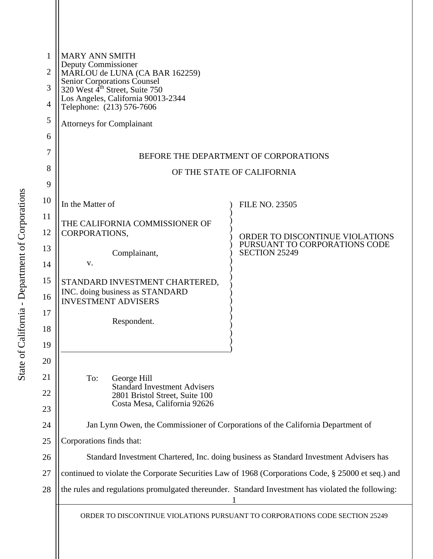| 1              | <b>MARY ANN SMITH</b><br>Deputy Commissioner<br>MARLOU de LUNA (CA BAR 162259)<br>Senior Corporations Counsel<br>320 West 4 <sup>th</sup> Street, Suite 750 |                                                       |
|----------------|-------------------------------------------------------------------------------------------------------------------------------------------------------------|-------------------------------------------------------|
| $\overline{2}$ |                                                                                                                                                             |                                                       |
| 3              |                                                                                                                                                             |                                                       |
| $\overline{4}$ | Los Angeles, California 90013-2344<br>Telephone: (213) 576-7606                                                                                             |                                                       |
| 5              | <b>Attorneys for Complainant</b>                                                                                                                            |                                                       |
| 6              |                                                                                                                                                             |                                                       |
| 7              | BEFORE THE DEPARTMENT OF CORPORATIONS                                                                                                                       |                                                       |
| 8              | OF THE STATE OF CALIFORNIA                                                                                                                                  |                                                       |
| 9              |                                                                                                                                                             |                                                       |
| 10             | In the Matter of                                                                                                                                            | <b>FILE NO. 23505</b>                                 |
| 11             | THE CALIFORNIA COMMISSIONER OF                                                                                                                              |                                                       |
| 12             | CORPORATIONS,                                                                                                                                               | ORDER TO DISCONTINUE VIOLATIONS                       |
| 13             | Complainant,                                                                                                                                                | PURSUANT TO CORPORATIONS CODE<br><b>SECTION 25249</b> |
| 14             | V.                                                                                                                                                          |                                                       |
| 15             | STANDARD INVESTMENT CHARTERED,                                                                                                                              |                                                       |
| 16             | INC. doing business as STANDARD<br><b>INVESTMENT ADVISERS</b>                                                                                               |                                                       |
| 17             | Respondent.                                                                                                                                                 |                                                       |
| 18             |                                                                                                                                                             |                                                       |
| 19             |                                                                                                                                                             |                                                       |
| 20             |                                                                                                                                                             |                                                       |
| 21             | To:<br>George Hill<br><b>Standard Investment Advisers</b>                                                                                                   |                                                       |
| 22             | 2801 Bristol Street, Suite 100<br>Costa Mesa, California 92626                                                                                              |                                                       |
| 23             |                                                                                                                                                             |                                                       |
| 24             | Jan Lynn Owen, the Commissioner of Corporations of the California Department of                                                                             |                                                       |
| 25             | Corporations finds that:                                                                                                                                    |                                                       |
| 26             | Standard Investment Chartered, Inc. doing business as Standard Investment Advisers has                                                                      |                                                       |
| 27             | continued to violate the Corporate Securities Law of 1968 (Corporations Code, § 25000 et seq.) and                                                          |                                                       |
| 28             | the rules and regulations promulgated thereunder. Standard Investment has violated the following:                                                           |                                                       |
|                | ORDER TO DISCONTINUE VIOLATIONS PURSUANT TO CORPORATIONS CODE SECTION 25249                                                                                 |                                                       |